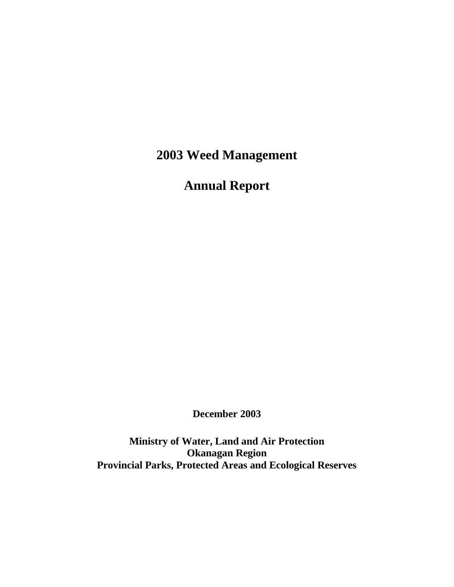**2003 Weed Management** 

**Annual Report** 

**December 2003**

**Ministry of Water, Land and Air Protection Okanagan Region Provincial Parks, Protected Areas and Ecological Reserves**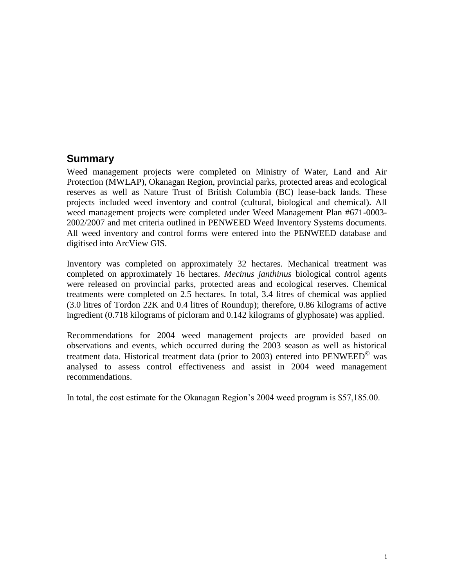## **Summary**

Weed management projects were completed on Ministry of Water, Land and Air Protection (MWLAP), Okanagan Region, provincial parks, protected areas and ecological reserves as well as Nature Trust of British Columbia (BC) lease-back lands. These projects included weed inventory and control (cultural, biological and chemical). All weed management projects were completed under Weed Management Plan #671-0003- 2002/2007 and met criteria outlined in PENWEED Weed Inventory Systems documents. All weed inventory and control forms were entered into the PENWEED database and digitised into ArcView GIS.

Inventory was completed on approximately 32 hectares. Mechanical treatment was completed on approximately 16 hectares. *Mecinus janthinus* biological control agents were released on provincial parks, protected areas and ecological reserves. Chemical treatments were completed on 2.5 hectares. In total, 3.4 litres of chemical was applied (3.0 litres of Tordon 22K and 0.4 litres of Roundup); therefore, 0.86 kilograms of active ingredient (0.718 kilograms of picloram and 0.142 kilograms of glyphosate) was applied.

Recommendations for 2004 weed management projects are provided based on observations and events, which occurred during the 2003 season as well as historical treatment data. Historical treatment data (prior to 2003) entered into  $PENWEED^{\circ}$  was analysed to assess control effectiveness and assist in 2004 weed management recommendations.

In total, the cost estimate for the Okanagan Region's 2004 weed program is \$57,185.00.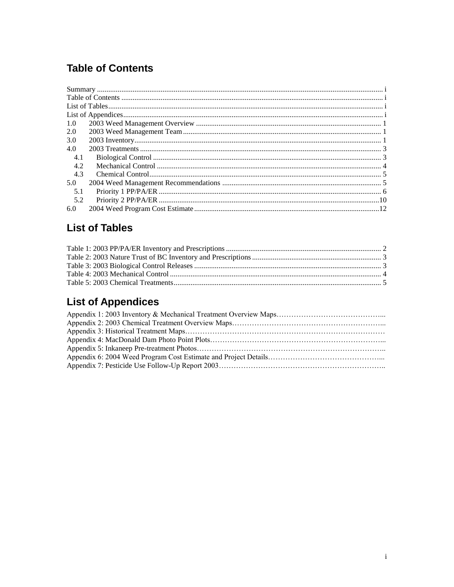# **Table of Contents**

| 1.0 |  |
|-----|--|
| 2.0 |  |
| 3.0 |  |
| 4.0 |  |
| 4.1 |  |
| 4.2 |  |
| 4.3 |  |
| 5.0 |  |
| 5.1 |  |
| 5.2 |  |
| 6.0 |  |

# **List of Tables**

# **List of Appendices**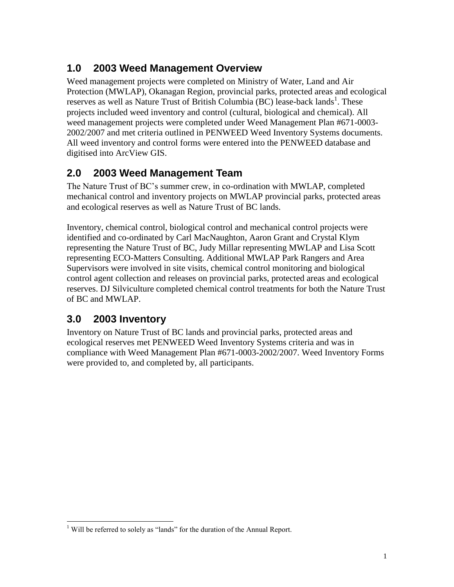## **1.0 2003 Weed Management Overview**

Weed management projects were completed on Ministry of Water, Land and Air Protection (MWLAP), Okanagan Region, provincial parks, protected areas and ecological reserves as well as Nature Trust of British Columbia (BC) lease-back lands<sup>1</sup>. These projects included weed inventory and control (cultural, biological and chemical). All weed management projects were completed under Weed Management Plan #671-0003- 2002/2007 and met criteria outlined in PENWEED Weed Inventory Systems documents. All weed inventory and control forms were entered into the PENWEED database and digitised into ArcView GIS.

## **2.0 2003 Weed Management Team**

The Nature Trust of BC's summer crew, in co-ordination with MWLAP, completed mechanical control and inventory projects on MWLAP provincial parks, protected areas and ecological reserves as well as Nature Trust of BC lands.

Inventory, chemical control, biological control and mechanical control projects were identified and co-ordinated by Carl MacNaughton, Aaron Grant and Crystal Klym representing the Nature Trust of BC, Judy Millar representing MWLAP and Lisa Scott representing ECO-Matters Consulting. Additional MWLAP Park Rangers and Area Supervisors were involved in site visits, chemical control monitoring and biological control agent collection and releases on provincial parks, protected areas and ecological reserves. DJ Silviculture completed chemical control treatments for both the Nature Trust of BC and MWLAP.

## **3.0 2003 Inventory**

l

Inventory on Nature Trust of BC lands and provincial parks, protected areas and ecological reserves met PENWEED Weed Inventory Systems criteria and was in compliance with Weed Management Plan #671-0003-2002/2007. Weed Inventory Forms were provided to, and completed by, all participants.

<sup>&</sup>lt;sup>1</sup> Will be referred to solely as "lands" for the duration of the Annual Report.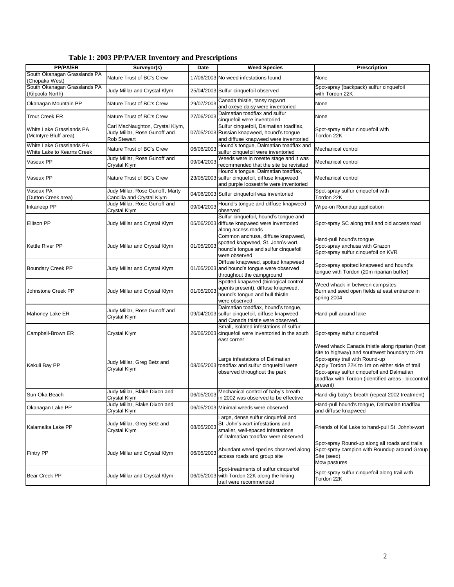|  |  |  |  |  | Table 1: 2003 PP/PA/ER Inventory and Prescriptions |
|--|--|--|--|--|----------------------------------------------------|
|--|--|--|--|--|----------------------------------------------------|

| <b>PP/PA/ER</b>                                             | Surveyor(s)                                                                           | Date       | <b>Weed Species</b>                                                                                                                                | <b>Prescription</b>                                                                                                                                                                                                                                                                                  |  |
|-------------------------------------------------------------|---------------------------------------------------------------------------------------|------------|----------------------------------------------------------------------------------------------------------------------------------------------------|------------------------------------------------------------------------------------------------------------------------------------------------------------------------------------------------------------------------------------------------------------------------------------------------------|--|
| South Okanagan Grasslands PA<br>(Chopaka West)              | Nature Trust of BC's Crew                                                             |            | 17/06/2003 No weed infestations found                                                                                                              | None                                                                                                                                                                                                                                                                                                 |  |
| South Okanagan Grasslands PA<br>(Kilpoola North)            | Judy Millar and Crystal Klym                                                          |            | 25/04/2003 Sulfur cinquefoil observed                                                                                                              | Spot-spray (backpack) sulfur cinquefoil<br>with Tordon 22K                                                                                                                                                                                                                                           |  |
| Okanagan Mountain PP                                        | Nature Trust of BC's Crew                                                             | 29/07/2003 | Canada thistle, tansy ragwort<br>and oxeye daisy were inventoried                                                                                  | None                                                                                                                                                                                                                                                                                                 |  |
| <b>Trout Creek ER</b>                                       | Nature Trust of BC's Crew                                                             | 27/06/2003 | Dalmatian toadflax and sulfur<br>cinquefoil were inventoried                                                                                       | None                                                                                                                                                                                                                                                                                                 |  |
| White Lake Grasslands PA<br>(McIntyre Bluff area)           | Carl MacNaughton, Crystal Klym,<br>Judy Millar, Rose Gunoff and<br><b>Rob Stewart</b> |            | Sulfur cinquefoil, Dalmatian toadflax,<br>07/05/2003 Russian knapweed, hound's tongue<br>and diffuse knapweed were inventoried                     | Spot-spray sulfur cinquefoil with<br>Tordon 22K                                                                                                                                                                                                                                                      |  |
| White Lake Grasslands PA<br>White Lake to Kearns Creek      | Nature Trust of BC's Crew                                                             | 06/06/2003 | Hound's tongue, Dalmatian toadflax and<br>sulfur cinquefoil were inventoried                                                                       | Mechanical control                                                                                                                                                                                                                                                                                   |  |
| Vaseux PP                                                   | Judy Millar, Rose Gunoff and<br>Crystal Klym                                          | 09/04/2003 | Weeds were in rosette stage and it was<br>recommended that the site be revisited                                                                   | Mechanical control                                                                                                                                                                                                                                                                                   |  |
| Vaseux PP                                                   | Nature Trust of BC's Crew                                                             |            | Hound's tongue, Dalmatian toadflax,<br>23/05/2003 sulfur cinquefoil, diffuse knapweed<br>and purple loosestrife were inventoried                   | Mechanical control                                                                                                                                                                                                                                                                                   |  |
| Vaseux PA<br>(Dutton Creek area)                            | Judy Millar, Rose Gunoff, Marty<br>Cancilla and Crystal Klym                          |            | 04/06/2003 Sulfur cinquefoil was inventoried                                                                                                       | Spot-spray sulfur cinquefoil with<br>Tordon 22K                                                                                                                                                                                                                                                      |  |
| Inkaneep PP                                                 | Judy Millar, Rose Gunoff and<br>Crystal Klym                                          | 09/04/2003 | Hound's tongue and diffuse knapweed<br>observed                                                                                                    | Wipe-on Roundup application                                                                                                                                                                                                                                                                          |  |
| <b>Ellison PP</b>                                           | Judy Millar and Crystal Klym                                                          |            | Sulfur cinquefoil, hound's tongue and<br>05/06/2003 diffuse knapweed were inventoried<br>along access roads                                        | Spot-spray SC along trail and old access road                                                                                                                                                                                                                                                        |  |
| <b>Kettle River PP</b>                                      | Judy Millar and Crystal Klym                                                          | 01/05/2003 | Common anchusa, diffuse knapweed,<br>spotted knapweed, St. John's-wort,<br>hound's tongue and sulfur cinquefoil<br>were observed                   | Hand-pull hound's tongue<br>Spot-spray anchusa with Grazon<br>Spot-spray sulfur cinquefoil on KVR                                                                                                                                                                                                    |  |
| <b>Boundary Creek PP</b>                                    | Judy Millar and Crystal Klym                                                          |            | Diffuse knapweed, spotted knapweed<br>01/05/2003 and hound's tongue were observed<br>throughout the campground                                     | Spot-spray spotted knapweed and hound's<br>tongue with Tordon (20m riparian buffer)                                                                                                                                                                                                                  |  |
| Johnstone Creek PP                                          | Judy Millar and Crystal Klym                                                          | 01/05/2003 | Spotted knapweed (biological control<br>agents present), diffuse knapweed,<br>hound's tongue and bull thistle<br>were observed                     | Weed whack in between campsites<br>Burn and seed open fields at east entrance in<br>spring 2004                                                                                                                                                                                                      |  |
| Mahoney Lake ER                                             | Judy Millar, Rose Gunoff and<br>Crystal Klym                                          |            | Dalmatian toadflax, hound's tongue,<br>09/04/2003 sulfur cinquefoil, diffuse knapweed<br>and Canada thistle were observed.                         | Hand-pull around lake                                                                                                                                                                                                                                                                                |  |
| Campbell-Brown ER                                           | Crystal Klym                                                                          |            | Small, isolated infestations of sulfur<br>26/06/2003 cinquefoil were inventoried in the south<br>east corner                                       | Spot-spray sulfur cinquefoil                                                                                                                                                                                                                                                                         |  |
| Judy Millar, Greg Betz and<br>Kekuli Bay PP<br>Crystal Klym |                                                                                       |            | Large infestations of Dalmatian<br>08/05/2003 toadflax and sulfur cinquefoil were<br>observed throughout the park                                  | Weed whack Canada thistle along riparian (host<br>site to highway) and southwest boundary to 2m<br>Spot-spray trail with Round-up<br>Apply Tordon 22K to 1m on either side of trail<br>Spot-spray sulfur cinquefoil and Dalmatian<br>toadflax with Tordon (identified areas - biocontrol<br>present) |  |
| Sun-Oka Beach                                               | Judy Millar, Blake Dixon and<br>Crystal Klym                                          |            | 06/05/2003 Mechanical control of baby's breath<br>in 2002 was observed to be effective                                                             | Hand-dig baby's breath (repeat 2002 treatment)                                                                                                                                                                                                                                                       |  |
| Okanagan Lake PP                                            | Judy Millar, Blake Dixon and<br>Crystal Klym                                          |            | 06/05/2003 Minimal weeds were observed                                                                                                             | Hand-pull hound's tongue, Dalmatian toadflax<br>and diffuse knapweed                                                                                                                                                                                                                                 |  |
| Kalamalka Lake PP                                           | Judy Millar, Greg Betz and<br>Crystal Klym                                            | 08/05/2003 | Large, dense sulfur cinquefoil and<br>St. John's-wort infestations and<br>smaller, well-spaced infestations<br>of Dalmatian toadflax were observed | Friends of Kal Lake to hand-pull St. John's-wort                                                                                                                                                                                                                                                     |  |
| <b>Fintry PP</b>                                            | Judy Millar and Crystal Klym                                                          | 06/05/2003 | Abundant weed species observed along<br>access roads and group site                                                                                | Spot-spray Round-up along all roads and trails<br>Spot-spray campion with Roundup around Group<br>Site (seed)<br>Mow pastures                                                                                                                                                                        |  |
| <b>Bear Creek PP</b>                                        | Judy Millar and Crystal Klym                                                          |            | Spot-treatments of sulfur cinquefoil<br>06/05/2003 with Tordon 22K along the hiking<br>trail were recommended                                      | Spot-spray sulfur cinquefoil along trail with<br>Tordon 22K                                                                                                                                                                                                                                          |  |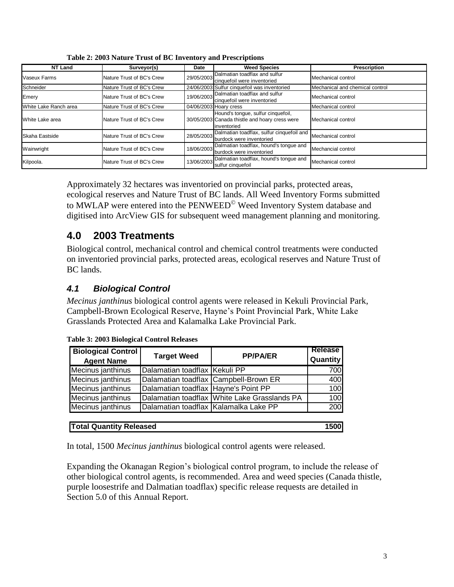| <b>NT Land</b>        | Surveyor(s)               | Date       | <b>Weed Species</b>                                                                                 | <b>Prescription</b>             |
|-----------------------|---------------------------|------------|-----------------------------------------------------------------------------------------------------|---------------------------------|
| Vaseux Farms          | Nature Trust of BC's Crew | 29/05/2003 | Dalmatian toadflax and sulfur<br>cinquefoil were inventoried                                        | Mechanical control              |
| Schneider             | Nature Trust of BC's Crew |            | 24/06/2003 Sulfur cinquefoil was inventoried                                                        | Mechanical and chemical control |
| Emery                 | Nature Trust of BC's Crew | 19/06/2003 | Dalmatian toadflax and sulfur<br>cinquefoil were inventoried                                        | Mechanical control              |
| White Lake Ranch area | Nature Trust of BC's Crew |            | 04/06/2003 Hoary cress                                                                              | Mechanical control              |
| White Lake area       | Nature Trust of BC's Crew |            | Hound's tonque, sulfur cinquefoil,<br>30/05/2003 Canada thistle and hoary cress were<br>inventoried | Mechanical control              |
| Skaha Eastside        | Nature Trust of BC's Crew | 28/05/2003 | Dalmatian toadflax, sulfur cinquefoil and<br>burdock were inventoried                               | Mechanical control              |
| Wainwright            | Nature Trust of BC's Crew | 18/06/2003 | Dalmatian toadflax, hound's tonque and<br>burdock were inventoried                                  | Mechancial control              |
| Kilpoola.             | Nature Trust of BC's Crew | 13/06/2003 | Dalmatian toadflax, hound's tonque and<br>sulfur cinquefoil                                         | Mechanical control              |

**Table 2: 2003 Nature Trust of BC Inventory and Prescriptions** 

Approximately 32 hectares was inventoried on provincial parks, protected areas, ecological reserves and Nature Trust of BC lands. All Weed Inventory Forms submitted to MWLAP were entered into the PENWEED<sup>©</sup> Weed Inventory System database and digitised into ArcView GIS for subsequent weed management planning and monitoring.

## **4.0 2003 Treatments**

Biological control, mechanical control and chemical control treatments were conducted on inventoried provincial parks, protected areas, ecological reserves and Nature Trust of BC lands.

## *4.1 Biological Control*

*Mecinus janthinus* biological control agents were released in Kekuli Provincial Park, Campbell-Brown Ecological Reserve, Hayne's Point Provincial Park, White Lake Grasslands Protected Area and Kalamalka Lake Provincial Park.

| <b>Biological Control</b><br><b>Agent Name</b> | <b>Target Weed</b>                    | <b>PP/PA/ER</b>                              | <b>Release</b><br><b>Quantity</b> |  |  |  |
|------------------------------------------------|---------------------------------------|----------------------------------------------|-----------------------------------|--|--|--|
| Mecinus janthinus                              | Dalamatian toadflax Kekuli PP         |                                              | 700                               |  |  |  |
| Mecinus janthinus                              |                                       | Dalamatian toadflax Campbell-Brown ER        | 400                               |  |  |  |
| Mecinus janthinus                              | Dalamatian toadflax Hayne's Point PP  |                                              | 100                               |  |  |  |
| Mecinus janthinus                              |                                       | Dalamatian toadflax White Lake Grasslands PA | 100                               |  |  |  |
| Mecinus janthinus                              | Dalamatian toadflax Kalamalka Lake PP |                                              | 200                               |  |  |  |
|                                                |                                       |                                              |                                   |  |  |  |
| <b>Total Quantity Released</b><br><b>1500l</b> |                                       |                                              |                                   |  |  |  |

**Table 3: 2003 Biological Control Releases**

In total, 1500 *Mecinus janthinus* biological control agents were released.

Expanding the Okanagan Region's biological control program, to include the release of other biological control agents, is recommended. Area and weed species (Canada thistle, purple loosestrife and Dalmatian toadflax) specific release requests are detailed in Section 5.0 of this Annual Report.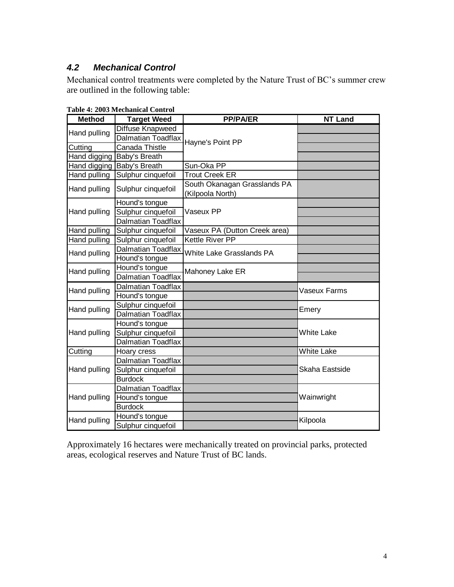## *4.2 Mechanical Control*

Mechanical control treatments were completed by the Nature Trust of BC's summer crew are outlined in the following table:

| <b>Method</b>       | <b>Target Weed</b>         | <b>PP/PA/ER</b>                                  | <b>NT Land</b>    |  |
|---------------------|----------------------------|--------------------------------------------------|-------------------|--|
| Hand pulling        | <b>Diffuse Knapweed</b>    |                                                  |                   |  |
|                     | Dalmatian Toadflax         | Hayne's Point PP                                 |                   |  |
| Cutting             | Canada Thistle             |                                                  |                   |  |
| Hand digging        | Baby's Breath              |                                                  |                   |  |
|                     | Hand digging Baby's Breath | Sun-Oka PP                                       |                   |  |
| <b>Hand pulling</b> | Sulphur cinquefoil         | <b>Trout Creek ER</b>                            |                   |  |
| Hand pulling        | Sulphur cinquefoil         | South Okanagan Grasslands PA<br>(Kilpoola North) |                   |  |
|                     | Hound's tongue             |                                                  |                   |  |
| Hand pulling        | Sulphur cinquefoil         | Vaseux PP                                        |                   |  |
|                     | <b>Dalmatian Toadflax</b>  |                                                  |                   |  |
| Hand pulling        | Sulphur cinquefoil         | Vaseux PA (Dutton Creek area)                    |                   |  |
| Hand pulling        | Sulphur cinquefoil         | Kettle River PP                                  |                   |  |
| Hand pulling        | <b>Dalmatian Toadflax</b>  | <b>White Lake Grasslands PA</b>                  |                   |  |
|                     | Hound's tongue             |                                                  |                   |  |
| Hand pulling        | Hound's tongue             | Mahoney Lake ER                                  |                   |  |
|                     | <b>Dalmatian Toadflax</b>  |                                                  |                   |  |
| Hand pulling        | <b>Dalmatian Toadflax</b>  |                                                  | Vaseux Farms      |  |
|                     | Hound's tongue             |                                                  |                   |  |
| Hand pulling        | Sulphur cinquefoil         |                                                  | Emery             |  |
|                     | <b>Dalmatian Toadflax</b>  |                                                  |                   |  |
|                     | Hound's tongue             |                                                  |                   |  |
| Hand pulling        | Sulphur cinquefoil         |                                                  | <b>White Lake</b> |  |
|                     | <b>Dalmatian Toadflax</b>  |                                                  |                   |  |
| Cutting             | Hoary cress                |                                                  | <b>White Lake</b> |  |
|                     | Dalmatian Toadflax         |                                                  |                   |  |
| Hand pulling        | Sulphur cinquefoil         |                                                  | Skaha Eastside    |  |
|                     | <b>Burdock</b>             |                                                  |                   |  |
|                     | Dalmatian Toadflax         |                                                  |                   |  |
| Hand pulling        | Hound's tongue             |                                                  | Wainwright        |  |
|                     | <b>Burdock</b>             |                                                  |                   |  |
| Hand pulling        | Hound's tongue             |                                                  | Kilpoola          |  |
|                     | Sulphur cinquefoil         |                                                  |                   |  |

**Table 4: 2003 Mechanical Control**

Approximately 16 hectares were mechanically treated on provincial parks, protected areas, ecological reserves and Nature Trust of BC lands.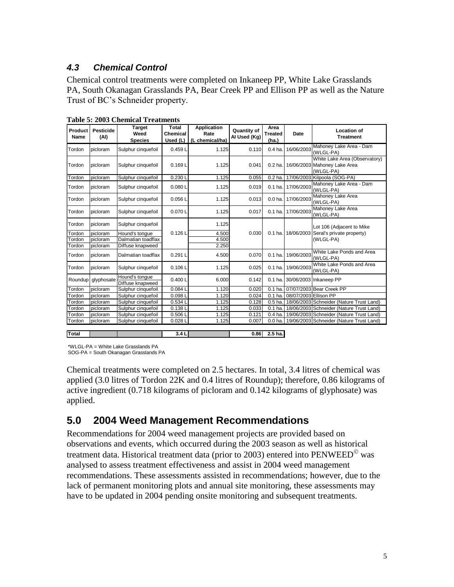## *4.3 Chemical Control*

Chemical control treatments were completed on Inkaneep PP, White Lake Grasslands PA, South Okanagan Grasslands PA, Bear Creek PP and Ellison PP as well as the Nature Trust of BC's Schneider property.

| Product<br>Name | <b>Pesticide</b><br>(AI) | <b>Target</b><br>Weed              | Total<br>Chemical | <b>Application</b><br>Rate | <b>Quantity of</b><br>Al Used (Kg) | Area<br><b>Treated</b> | Date                  | <b>Location of</b><br><b>Treatment</b>                                     |
|-----------------|--------------------------|------------------------------------|-------------------|----------------------------|------------------------------------|------------------------|-----------------------|----------------------------------------------------------------------------|
|                 |                          | <b>Species</b>                     | Used (L)          | (L chemical/ha)            |                                    | (ha.)                  |                       |                                                                            |
| Tordon          | picloram                 | Sulphur cinquefoil                 | 0.459L            | 1.125                      | 0.110                              | $0.4$ ha.              | 16/06/2003            | Mahoney Lake Area - Dam<br>(WLGL-PA)                                       |
| Tordon          | picloram                 | Sulphur cinquefoil                 | 0.169L            | 1.125                      | 0.041                              | 0.2 <sub>ha</sub>      |                       | White Lake Area (Observatory)<br>16/06/2003 Mahoney Lake Area<br>(WLGL-PA) |
| Tordon          | picloram                 | Sulphur cinquefoil                 | 0.230L            | 1.125                      | 0.055                              | $0.2$ ha.              |                       | 17/06/2003 Kilpoola (SOG-PA)                                               |
| Tordon          | picloram                 | Sulphur cinquefoil                 | 0.080L            | 1.125                      | 0.019                              | $0.1$ ha               | 17/06/2003            | Mahoney Lake Area - Dam<br>(WLGL-PA)                                       |
| Tordon          | picloram                 | Sulphur cinquefoil                 | 0.056L            | 1.125                      | 0.013                              | 0.0 <sub>ha</sub>      | 17/06/2003            | Mahoney Lake Area<br>(WLGL-PA)                                             |
| Tordon          | picloram                 | Sulphur cinquefoil                 | 0.070L            | 1.125                      | 0.017                              | $0.1$ ha               | 17/06/2003            | Mahoney Lake Area<br>(WLGL-PA)                                             |
| Tordon          | picloram                 | Sulphur cinquefoil                 |                   | 1.125                      |                                    |                        |                       | Lot 106 (Adjacent to Mike                                                  |
| Tordon          | picloram                 | Hound's tongue                     | 0.126L            | 4.500                      | 0.030                              | $0.1$ ha.              |                       | 18/06/2003 Seral's private property)                                       |
| Tordon          | picloram                 | Dalmatian toadflax                 |                   | 4.500                      |                                    |                        |                       | (WLGL-PA)                                                                  |
| Tordon          | picloram                 | Diffuse knapweed                   |                   | 2.250                      |                                    |                        |                       |                                                                            |
| Tordon          | picloram                 | Dalmatian toadflax                 | 0.291L            | 4.500                      | 0.070                              | $0.1$ ha.              | 19/06/2003            | White Lake Ponds and Area<br>(WLGL-PA)                                     |
| Tordon          | picloram                 | Sulphur cinquefoil                 | 0.106L            | 1.125                      | 0.025                              | 0.1 <sub>ha</sub>      | 19/06/2003            | White Lake Ponds and Area<br>(WLGL-PA)                                     |
|                 | Roundup glyphosate       | Hound's tongue<br>Diffuse knapweed | 0.400L            | 6.000                      | 0.142                              |                        |                       | 0.1 ha. 30/06/2003 Inkaneep PP                                             |
| Tordon          | picloram                 | Sulphur cinquefoil                 | 0.0841            | 1.120                      | 0.020                              | 0.1 <sub>ha</sub>      |                       | 07/07/2003 Bear Creek PP                                                   |
| Tordon          | picloram                 | Sulphur cinquefoil                 | 0.0981            | 1.120                      | 0.024                              | 0.1 <sub>ha</sub>      | 08/07/2003 Ellison PP |                                                                            |
| Tordon          | picloram                 | Sulphur cinquefoil                 | 0.534L            | 1.125                      | 0.128                              | 0.5 <sub>ha</sub>      |                       | 18/06/2003 Schneider (Nature Trust Land)                                   |
| Tordon          | picloram                 | Sulphur cinquefoil                 | 0.1381            | 1.125                      | 0.033                              | $0.1$ ha.              |                       | 18/06/2003 Schneider (Nature Trust Land)                                   |
| Tordon          | picloram                 | Sulphur cinquefoil                 | 0.5061            | 1.125                      | 0.121                              | $0.4$ ha.              |                       | 19/06/2003 Schneider (Nature Trust Land)                                   |
| Tordon          | picloram                 | Sulphur cinquefoil                 | 0.028L            | 1.125                      | 0.007                              | 0.0 <sub>ha</sub>      |                       | 19/06/2003 Schneider (Nature Trust Land)                                   |
|                 |                          |                                    |                   |                            |                                    |                        |                       |                                                                            |
| Total           |                          |                                    | 3.4L              |                            | 0.86                               | 2.5 <sub>ha.</sub>     |                       |                                                                            |

**Table 5: 2003 Chemical Treatments**

\*WLGL-PA = White Lake Grasslands PA

SOG-PA = South Okanagan Grasslands PA

Chemical treatments were completed on 2.5 hectares. In total, 3.4 litres of chemical was applied (3.0 litres of Tordon 22K and 0.4 litres of Roundup); therefore, 0.86 kilograms of active ingredient (0.718 kilograms of picloram and 0.142 kilograms of glyphosate) was applied.

## **5.0 2004 Weed Management Recommendations**

Recommendations for 2004 weed management projects are provided based on observations and events, which occurred during the 2003 season as well as historical treatment data. Historical treatment data (prior to 2003) entered into  $PENWEED^{\circ}$  was analysed to assess treatment effectiveness and assist in 2004 weed management recommendations. These assessments assisted in recommendations; however, due to the lack of permanent monitoring plots and annual site monitoring, these assessments may have to be updated in 2004 pending onsite monitoring and subsequent treatments.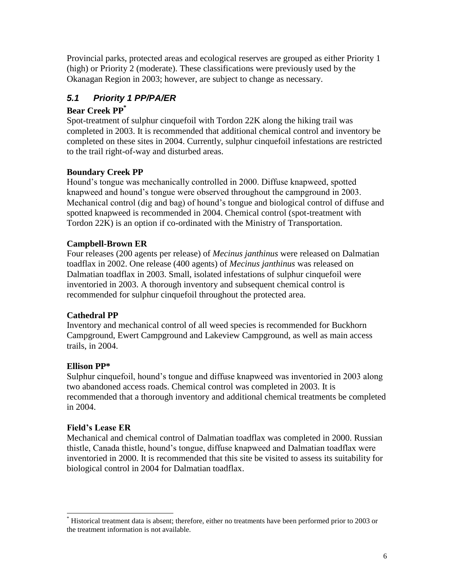Provincial parks, protected areas and ecological reserves are grouped as either Priority 1 (high) or Priority 2 (moderate). These classifications were previously used by the Okanagan Region in 2003; however, are subject to change as necessary.

## *5.1 Priority 1 PP/PA/ER*

### **Bear Creek PP\***

Spot-treatment of sulphur cinquefoil with Tordon 22K along the hiking trail was completed in 2003. It is recommended that additional chemical control and inventory be completed on these sites in 2004. Currently, sulphur cinquefoil infestations are restricted to the trail right-of-way and disturbed areas.

### **Boundary Creek PP**

Hound's tongue was mechanically controlled in 2000. Diffuse knapweed, spotted knapweed and hound's tongue were observed throughout the campground in 2003. Mechanical control (dig and bag) of hound's tongue and biological control of diffuse and spotted knapweed is recommended in 2004. Chemical control (spot-treatment with Tordon 22K) is an option if co-ordinated with the Ministry of Transportation.

### **Campbell-Brown ER**

Four releases (200 agents per release) of *Mecinus janthinus* were released on Dalmatian toadflax in 2002. One release (400 agents) of *Mecinus janthinus* was released on Dalmatian toadflax in 2003. Small, isolated infestations of sulphur cinquefoil were inventoried in 2003. A thorough inventory and subsequent chemical control is recommended for sulphur cinquefoil throughout the protected area.

## **Cathedral PP**

Inventory and mechanical control of all weed species is recommended for Buckhorn Campground, Ewert Campground and Lakeview Campground, as well as main access trails, in 2004.

## **Ellison PP\***

Sulphur cinquefoil, hound's tongue and diffuse knapweed was inventoried in 2003 along two abandoned access roads. Chemical control was completed in 2003. It is recommended that a thorough inventory and additional chemical treatments be completed in 2004.

### **Field's Lease ER**

Mechanical and chemical control of Dalmatian toadflax was completed in 2000. Russian thistle, Canada thistle, hound's tongue, diffuse knapweed and Dalmatian toadflax were inventoried in 2000. It is recommended that this site be visited to assess its suitability for biological control in 2004 for Dalmatian toadflax.

 $\overline{a}$ Historical treatment data is absent; therefore, either no treatments have been performed prior to 2003 or the treatment information is not available.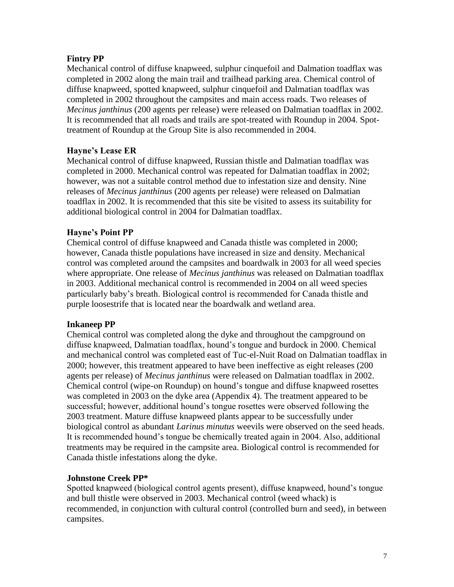#### **Fintry PP**

Mechanical control of diffuse knapweed, sulphur cinquefoil and Dalmation toadflax was completed in 2002 along the main trail and trailhead parking area. Chemical control of diffuse knapweed, spotted knapweed, sulphur cinquefoil and Dalmatian toadflax was completed in 2002 throughout the campsites and main access roads. Two releases of *Mecinus janthinus* (200 agents per release) were released on Dalmatian toadflax in 2002. It is recommended that all roads and trails are spot-treated with Roundup in 2004. Spottreatment of Roundup at the Group Site is also recommended in 2004.

#### **Hayne's Lease ER**

Mechanical control of diffuse knapweed, Russian thistle and Dalmatian toadflax was completed in 2000. Mechanical control was repeated for Dalmatian toadflax in 2002; however, was not a suitable control method due to infestation size and density. Nine releases of *Mecinus janthinus* (200 agents per release) were released on Dalmatian toadflax in 2002. It is recommended that this site be visited to assess its suitability for additional biological control in 2004 for Dalmatian toadflax.

#### **Hayne's Point PP**

Chemical control of diffuse knapweed and Canada thistle was completed in 2000; however, Canada thistle populations have increased in size and density. Mechanical control was completed around the campsites and boardwalk in 2003 for all weed species where appropriate. One release of *Mecinus janthinus* was released on Dalmatian toadflax in 2003. Additional mechanical control is recommended in 2004 on all weed species particularly baby's breath. Biological control is recommended for Canada thistle and purple loosestrife that is located near the boardwalk and wetland area.

#### **Inkaneep PP**

Chemical control was completed along the dyke and throughout the campground on diffuse knapweed, Dalmatian toadflax, hound's tongue and burdock in 2000. Chemical and mechanical control was completed east of Tuc-el-Nuit Road on Dalmatian toadflax in 2000; however, this treatment appeared to have been ineffective as eight releases (200 agents per release) of *Mecinus janthinus* were released on Dalmatian toadflax in 2002. Chemical control (wipe-on Roundup) on hound's tongue and diffuse knapweed rosettes was completed in 2003 on the dyke area (Appendix 4). The treatment appeared to be successful; however, additional hound's tongue rosettes were observed following the 2003 treatment. Mature diffuse knapweed plants appear to be successfully under biological control as abundant *Larinus minutus* weevils were observed on the seed heads. It is recommended hound's tongue be chemically treated again in 2004. Also, additional treatments may be required in the campsite area. Biological control is recommended for Canada thistle infestations along the dyke.

#### **Johnstone Creek PP\***

Spotted knapweed (biological control agents present), diffuse knapweed, hound's tongue and bull thistle were observed in 2003. Mechanical control (weed whack) is recommended, in conjunction with cultural control (controlled burn and seed), in between campsites.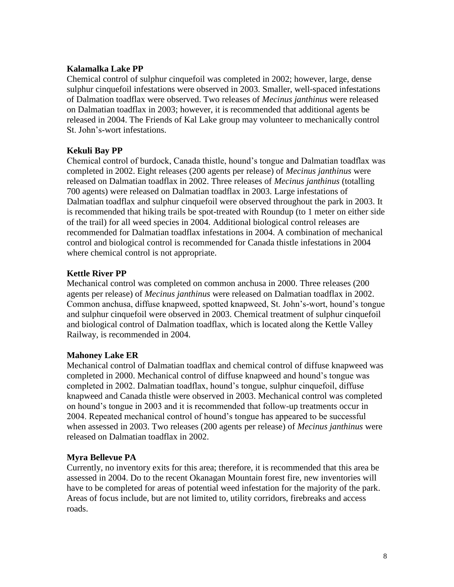#### **Kalamalka Lake PP**

Chemical control of sulphur cinquefoil was completed in 2002; however, large, dense sulphur cinquefoil infestations were observed in 2003. Smaller, well-spaced infestations of Dalmation toadflax were observed. Two releases of *Mecinus janthinus* were released on Dalmatian toadflax in 2003; however, it is recommended that additional agents be released in 2004. The Friends of Kal Lake group may volunteer to mechanically control St. John's-wort infestations.

#### **Kekuli Bay PP**

Chemical control of burdock, Canada thistle, hound's tongue and Dalmatian toadflax was completed in 2002. Eight releases (200 agents per release) of *Mecinus janthinus* were released on Dalmatian toadflax in 2002. Three releases of *Mecinus janthinus* (totalling 700 agents) were released on Dalmatian toadflax in 2003. Large infestations of Dalmatian toadflax and sulphur cinquefoil were observed throughout the park in 2003. It is recommended that hiking trails be spot-treated with Roundup (to 1 meter on either side of the trail) for all weed species in 2004. Additional biological control releases are recommended for Dalmatian toadflax infestations in 2004. A combination of mechanical control and biological control is recommended for Canada thistle infestations in 2004 where chemical control is not appropriate.

#### **Kettle River PP**

Mechanical control was completed on common anchusa in 2000. Three releases (200 agents per release) of *Mecinus janthinus* were released on Dalmatian toadflax in 2002. Common anchusa, diffuse knapweed, spotted knapweed, St. John's-wort, hound's tongue and sulphur cinquefoil were observed in 2003. Chemical treatment of sulphur cinquefoil and biological control of Dalmation toadflax, which is located along the Kettle Valley Railway, is recommended in 2004.

#### **Mahoney Lake ER**

Mechanical control of Dalmatian toadflax and chemical control of diffuse knapweed was completed in 2000. Mechanical control of diffuse knapweed and hound's tongue was completed in 2002. Dalmatian toadflax, hound's tongue, sulphur cinquefoil, diffuse knapweed and Canada thistle were observed in 2003. Mechanical control was completed on hound's tongue in 2003 and it is recommended that follow-up treatments occur in 2004. Repeated mechanical control of hound's tongue has appeared to be successful when assessed in 2003. Two releases (200 agents per release) of *Mecinus janthinus* were released on Dalmatian toadflax in 2002.

#### **Myra Bellevue PA**

Currently, no inventory exits for this area; therefore, it is recommended that this area be assessed in 2004. Do to the recent Okanagan Mountain forest fire, new inventories will have to be completed for areas of potential weed infestation for the majority of the park. Areas of focus include, but are not limited to, utility corridors, firebreaks and access roads.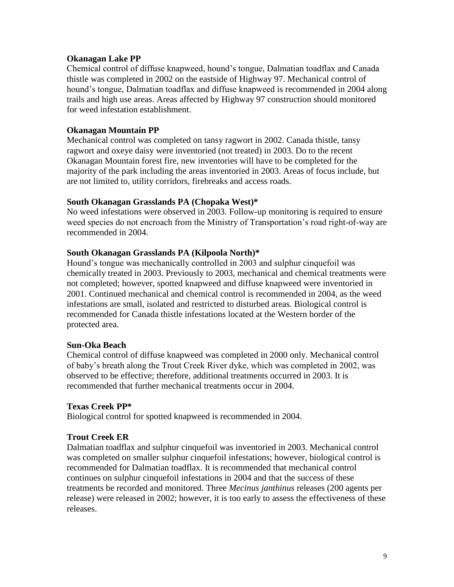#### **Okanagan Lake PP**

Chemical control of diffuse knapweed, hound's tongue, Dalmatian toadflax and Canada thistle was completed in 2002 on the eastside of Highway 97. Mechanical control of hound's tongue, Dalmatian toadflax and diffuse knapweed is recommended in 2004 along trails and high use areas. Areas affected by Highway 97 construction should monitored for weed infestation establishment.

#### **Okanagan Mountain PP**

Mechanical control was completed on tansy ragwort in 2002. Canada thistle, tansy ragwort and oxeye daisy were inventoried (not treated) in 2003. Do to the recent Okanagan Mountain forest fire, new inventories will have to be completed for the majority of the park including the areas inventoried in 2003. Areas of focus include, but are not limited to, utility corridors, firebreaks and access roads.

#### **South Okanagan Grasslands PA (Chopaka West)\***

No weed infestations were observed in 2003. Follow-up monitoring is required to ensure weed species do not encroach from the Ministry of Transportation's road right-of-way are recommended in 2004.

#### **South Okanagan Grasslands PA (Kilpoola North)\***

Hound's tongue was mechanically controlled in 2003 and sulphur cinquefoil was chemically treated in 2003. Previously to 2003, mechanical and chemical treatments were not completed; however, spotted knapweed and diffuse knapweed were inventoried in 2001. Continued mechanical and chemical control is recommended in 2004, as the weed infestations are small, isolated and restricted to disturbed areas. Biological control is recommended for Canada thistle infestations located at the Western border of the protected area.

#### **Sun-Oka Beach**

Chemical control of diffuse knapweed was completed in 2000 only. Mechanical control of baby's breath along the Trout Creek River dyke, which was completed in 2002, was observed to be effective; therefore, additional treatments occurred in 2003. It is recommended that further mechanical treatments occur in 2004.

#### **Texas Creek PP\***

Biological control for spotted knapweed is recommended in 2004.

#### **Trout Creek ER**

Dalmatian toadflax and sulphur cinquefoil was inventoried in 2003. Mechanical control was completed on smaller sulphur cinquefoil infestations; however, biological control is recommended for Dalmatian toadflax. It is recommended that mechanical control continues on sulphur cinquefoil infestations in 2004 and that the success of these treatments be recorded and monitored. Three *Mecinus janthinus* releases (200 agents per release) were released in 2002; however, it is too early to assess the effectiveness of these releases.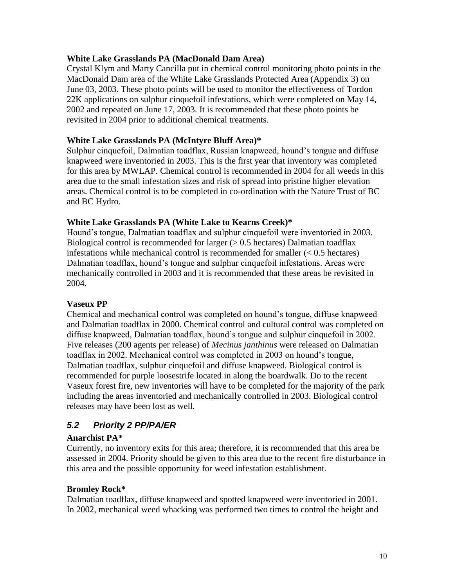#### **White Lake Grasslands PA (MacDonald Dam Area)**

Crystal Klym and Marty Cancilla put in chemical control monitoring photo points in the MacDonald Dam area of the White Lake Grasslands Protected Area (Appendix 3) on June 03, 2003. These photo points will be used to monitor the effectiveness of Tordon 22K applications on sulphur cinquefoil infestations, which were completed on May 14, 2002 and repeated on June 17, 2003. It is recommended that these photo points be revisited in 2004 prior to additional chemical treatments.

#### **White Lake Grasslands PA (McIntyre Bluff Area)\***

Sulphur cinquefoil, Dalmatian toadflax, Russian knapweed, hound's tongue and diffuse knapweed were inventoried in 2003. This is the first year that inventory was completed for this area by MWLAP. Chemical control is recommended in 2004 for all weeds in this area due to the small infestation sizes and risk of spread into pristine higher elevation areas. Chemical control is to be completed in co-ordination with the Nature Trust of BC and BC Hydro.

#### **White Lake Grasslands PA (White Lake to Kearns Creek)\***

Hound's tongue, Dalmatian toadflax and sulphur cinquefoil were inventoried in 2003. Biological control is recommended for larger  $(> 0.5$  hectares) Dalmatian toadflax infestations while mechanical control is recommended for smaller  $(< 0.5$  hectares) Dalmatian toadflax, hound's tongue and sulphur cinquefoil infestations. Areas were mechanically controlled in 2003 and it is recommended that these areas be revisited in 2004.

#### **Vaseux PP**

Chemical and mechanical control was completed on hound's tongue, diffuse knapweed and Dalmatian toadflax in 2000. Chemical control and cultural control was completed on diffuse knapweed, Dalmatian toadflax, hound's tongue and sulphur cinquefoil in 2002. Five releases (200 agents per release) of *Mecinus janthinus* were released on Dalmatian toadflax in 2002. Mechanical control was completed in 2003 on hound's tongue, Dalmatian toadflax, sulphur cinquefoil and diffuse knapweed. Biological control is recommended for purple loosestrife located in along the boardwalk. Do to the recent Vaseux forest fire, new inventories will have to be completed for the majority of the park including the areas inventoried and mechanically controlled in 2003. Biological control releases may have been lost as well.

### *5.2 Priority 2 PP/PA/ER*

#### **Anarchist PA\***

Currently, no inventory exits for this area; therefore, it is recommended that this area be assessed in 2004. Priority should be given to this area due to the recent fire disturbance in this area and the possible opportunity for weed infestation establishment.

#### **Bromley Rock\***

Dalmatian toadflax, diffuse knapweed and spotted knapweed were inventoried in 2001. In 2002, mechanical weed whacking was performed two times to control the height and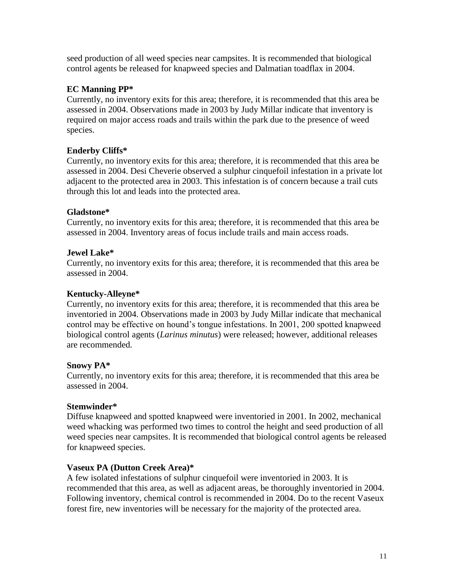seed production of all weed species near campsites. It is recommended that biological control agents be released for knapweed species and Dalmatian toadflax in 2004.

#### **EC Manning PP\***

Currently, no inventory exits for this area; therefore, it is recommended that this area be assessed in 2004. Observations made in 2003 by Judy Millar indicate that inventory is required on major access roads and trails within the park due to the presence of weed species.

#### **Enderby Cliffs\***

Currently, no inventory exits for this area; therefore, it is recommended that this area be assessed in 2004. Desi Cheverie observed a sulphur cinquefoil infestation in a private lot adjacent to the protected area in 2003. This infestation is of concern because a trail cuts through this lot and leads into the protected area.

#### **Gladstone\***

Currently, no inventory exits for this area; therefore, it is recommended that this area be assessed in 2004. Inventory areas of focus include trails and main access roads.

#### **Jewel Lake\***

Currently, no inventory exits for this area; therefore, it is recommended that this area be assessed in 2004.

#### **Kentucky-Alleyne\***

Currently, no inventory exits for this area; therefore, it is recommended that this area be inventoried in 2004. Observations made in 2003 by Judy Millar indicate that mechanical control may be effective on hound's tongue infestations. In 2001, 200 spotted knapweed biological control agents (*Larinus minutus*) were released; however, additional releases are recommended.

#### **Snowy PA\***

Currently, no inventory exits for this area; therefore, it is recommended that this area be assessed in 2004.

#### **Stemwinder\***

Diffuse knapweed and spotted knapweed were inventoried in 2001. In 2002, mechanical weed whacking was performed two times to control the height and seed production of all weed species near campsites. It is recommended that biological control agents be released for knapweed species.

#### **Vaseux PA (Dutton Creek Area)\***

A few isolated infestations of sulphur cinquefoil were inventoried in 2003. It is recommended that this area, as well as adjacent areas, be thoroughly inventoried in 2004. Following inventory, chemical control is recommended in 2004. Do to the recent Vaseux forest fire, new inventories will be necessary for the majority of the protected area.